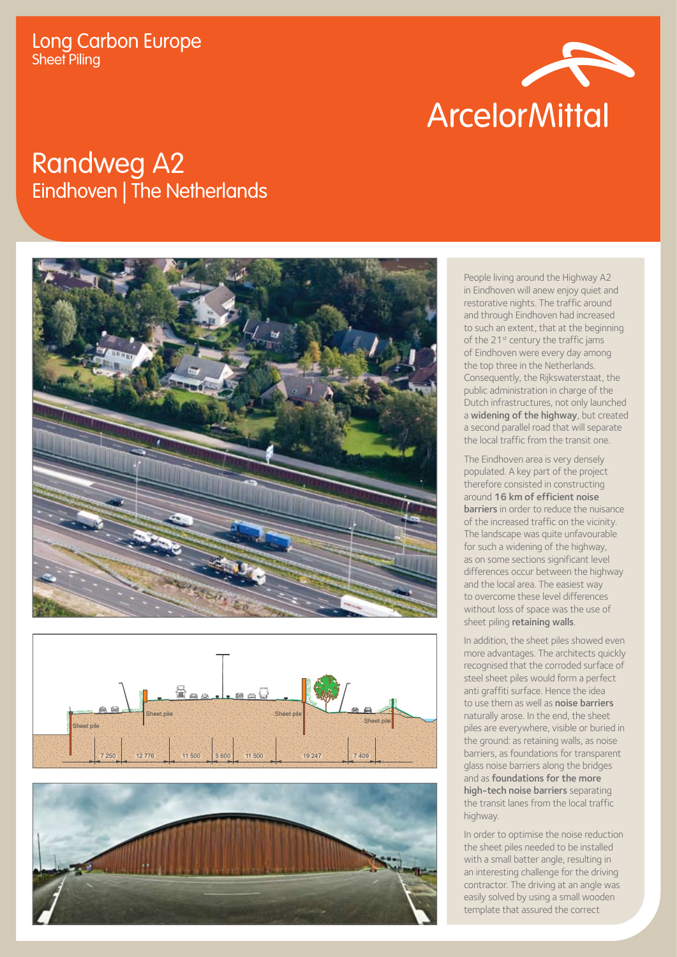

## Randweg A2 Eindhoven | The Netherlands







People living around the Highway A2 in Eindhoven will anew enjoy quiet and restorative nights. The traffic around and through Eindhoven had increased to such an extent, that at the beginning of the 21<sup>st</sup> century the traffic jams of Eindhoven were every day among the top three in the Netherlands. Consequently, the Rijkswaterstaat, the public administration in charge of the Dutch infrastructures, not only launched a widening of the highway, but created a second parallel road that will separate the local traffic from the transit one.

The Eindhoven area is very densely populated. A key part of the project therefore consisted in constructing around 16 km of efficient noise barriers in order to reduce the nuisance of the increased traffic on the vicinity. The landscape was quite unfavourable for such a widening of the highway, as on some sections significant level differences occur between the highway and the local area. The easiest way to overcome these level differences without loss of space was the use of sheet piling retaining walls.

In addition, the sheet piles showed even more advantages. The architects quickly recognised that the corroded surface of steel sheet piles would form a perfect anti graffiti surface. Hence the idea to use them as well as noise barriers naturally arose. In the end, the sheet piles are everywhere, visible or buried in the ground: as retaining walls, as noise barriers, as foundations for transparent glass noise barriers along the bridges and as foundations for the more high-tech noise barriers separating the transit lanes from the local traffic highway.

In order to optimise the noise reduction the sheet piles needed to be installed with a small batter angle, resulting in an interesting challenge for the driving contractor. The driving at an angle was easily solved by using a small wooden template that assured the correct